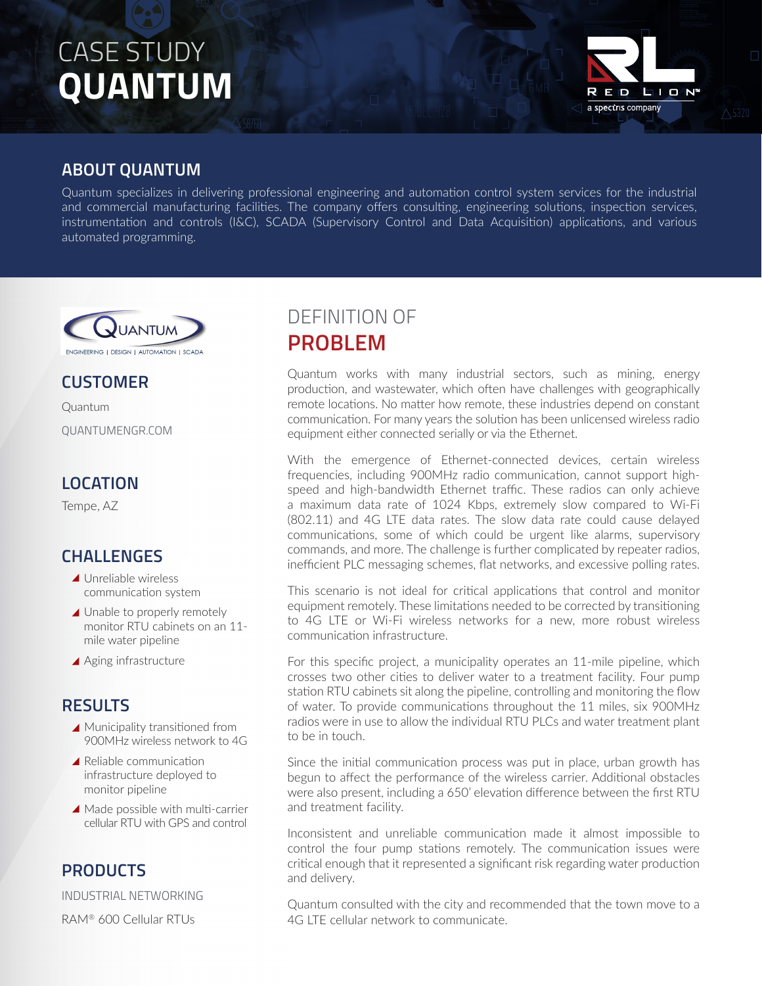# CASE STUDY **QUANTUM**



#### **ABOUT QUANTUM**

Quantum specializes in delivering professional engineering and automation control system services for the industrial and commercial manufacturing facilities. The company offers consulting, engineering solutions, inspection services, instrumentation and controls (I&C), SCADA (Supervisory Control and Data Acquisition) applications, and various automated programming.



#### **CUSTOMER**

Quantum QUANTUMENGR.COM

#### **LOCATION**

Tempe, AZ

#### **CHALLENGES**

- ▲ Unreliable wireless communication system
- ▲ Unable to properly remotely monitor RTU cabinets on an 11 mile water pipeline
- ▲ Aging infrastructure

#### **RESULTS**

- ▲ Municipality transitioned from 900MHz wireless network to 4G
- ▲ Reliable communication infrastructure deployed to monitor pipeline
- ▲ Made possible with multi-carrier cellular RTU with GPS and control

#### **PRODUCTS**

INDUSTRIAL NETWORKING

RAM® 600 Cellular RTUs

### DEFINITION OF **PROBLEM**

Quantum works with many industrial sectors, such as mining, energy production, and wastewater, which often have challenges with geographically remote locations. No matter how remote, these industries depend on constant communication. For many years the solution has been unlicensed wireless radio equipment either connected serially or via the Ethernet.

With the emergence of Ethernet-connected devices, certain wireless frequencies, including 900MHz radio communication, cannot support highspeed and high-bandwidth Ethernet traffic. These radios can only achieve a maximum data rate of 1024 Kbps, extremely slow compared to Wi-Fi (802.11) and 4G LTE data rates. The slow data rate could cause delayed communications, some of which could be urgent like alarms, supervisory commands, and more. The challenge is further complicated by repeater radios, inefficient PLC messaging schemes, flat networks, and excessive polling rates.

This scenario is not ideal for critical applications that control and monitor equipment remotely. These limitations needed to be corrected by transitioning to 4G LTE or Wi-Fi wireless networks for a new, more robust wireless communication infrastructure.

For this specific project, a municipality operates an 11-mile pipeline, which crosses two other cities to deliver water to a treatment facility. Four pump station RTU cabinets sit along the pipeline, controlling and monitoring the flow of water. To provide communications throughout the 11 miles, six 900MHz radios were in use to allow the individual RTU PLCs and water treatment plant to be in touch.

Since the initial communication process was put in place, urban growth has begun to affect the performance of the wireless carrier. Additional obstacles were also present, including a 650' elevation difference between the first RTU and treatment facility.

Inconsistent and unreliable communication made it almost impossible to control the four pump stations remotely. The communication issues were critical enough that it represented a significant risk regarding water production and delivery.

Quantum consulted with the city and recommended that the town move to a 4G LTE cellular network to communicate.